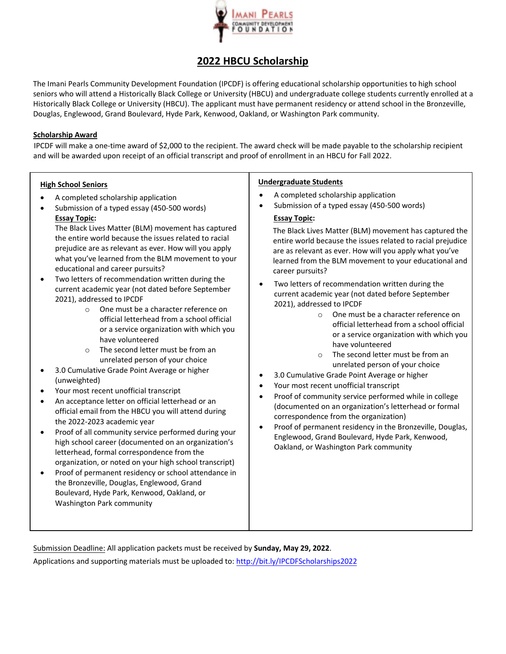

# **2022 HBCU Scholarship**

The Imani Pearls Community Development Foundation (IPCDF) is offering educational scholarship opportunities to high school seniors who will attend a Historically Black College or University (HBCU) and undergraduate college students currently enrolled at a Historically Black College or University (HBCU). The applicant must have permanent residency or attend school in the Bronzeville, Douglas, Englewood, Grand Boulevard, Hyde Park, Kenwood, Oakland, or Washington Park community.

### **Scholarship Award**

IPCDF will make a one-time award of \$2,000 to the recipient. The award check will be made payable to the scholarship recipient and will be awarded upon receipt of an official transcript and proof of enrollment in an HBCU for Fall 2022.

#### **High School Seniors**

- A completed scholarship application
- Submission of a typed essay (450-500 words) **Essay Topic:**

The Black Lives Matter (BLM) movement has captured the entire world because the issues related to racial prejudice are as relevant as ever. How will you apply what you've learned from the BLM movement to your educational and career pursuits?

- Two letters of recommendation written during the current academic year (not dated before September 2021), addressed to IPCDF
	- o One must be a character reference on official letterhead from a school official or a service organization with which you have volunteered
	- o The second letter must be from an unrelated person of your choice
- 3.0 Cumulative Grade Point Average or higher (unweighted)
- Your most recent unofficial transcript
- An acceptance letter on official letterhead or an official email from the HBCU you will attend during the 2022-2023 academic year
- Proof of all community service performed during your high school career (documented on an organization's letterhead, formal correspondence from the organization, or noted on your high school transcript)
- Proof of permanent residency or school attendance in the Bronzeville, Douglas, Englewood, Grand Boulevard, Hyde Park, Kenwood, Oakland, or Washington Park community

#### **Undergraduate Students**

- A completed scholarship application
- Submission of a typed essay (450-500 words)

#### **Essay Topic:**

The Black Lives Matter (BLM) movement has captured the entire world because the issues related to racial prejudice are as relevant as ever. How will you apply what you've learned from the BLM movement to your educational and career pursuits?

- Two letters of recommendation written during the current academic year (not dated before September 2021), addressed to IPCDF
	- o One must be a character reference on official letterhead from a school official or a service organization with which you have volunteered
	- o The second letter must be from an unrelated person of your choice
- 3.0 Cumulative Grade Point Average or higher
- Your most recent unofficial transcript
- Proof of community service performed while in college (documented on an organization's letterhead or formal correspondence from the organization)
- Proof of permanent residency in the Bronzeville, Douglas, Englewood, Grand Boulevard, Hyde Park, Kenwood, Oakland, or Washington Park community

Submission Deadline: All application packets must be received by **Sunday, May 29, 2022**.

Applications and supporting materials must be uploaded to: http://bit.ly/IPCDFScholarships2022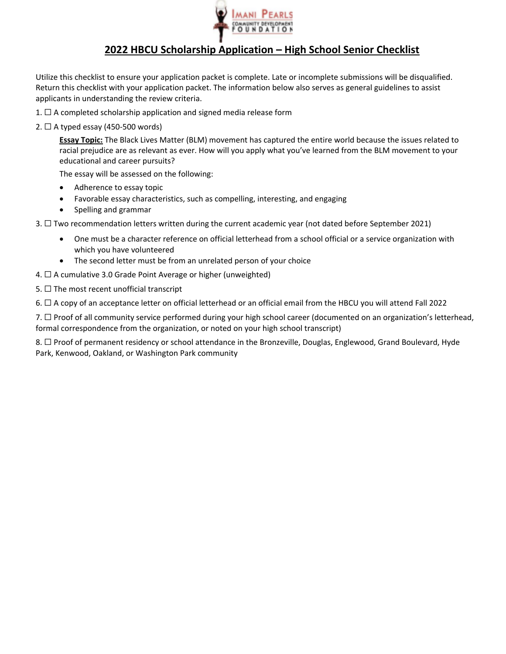

## **2022 HBCU Scholarship Application – High School Senior Checklist**

Utilize this checklist to ensure your application packet is complete. Late or incomplete submissions will be disqualified. Return this checklist with your application packet. The information below also serves as general guidelines to assist applicants in understanding the review criteria.

- 1.  $\Box$  A completed scholarship application and signed media release form
- 2.  $\Box$  A typed essay (450-500 words)

**Essay Topic:** The Black Lives Matter (BLM) movement has captured the entire world because the issues related to racial prejudice are as relevant as ever. How will you apply what you've learned from the BLM movement to your educational and career pursuits?

The essay will be assessed on the following:

- Adherence to essay topic
- Favorable essay characteristics, such as compelling, interesting, and engaging
- Spelling and grammar
- 3. ☐ Two recommendation letters written during the current academic year (not dated before September 2021)
	- One must be a character reference on official letterhead from a school official or a service organization with which you have volunteered
	- The second letter must be from an unrelated person of your choice
- 4.  $\Box$  A cumulative 3.0 Grade Point Average or higher (unweighted)
- 5.  $\Box$  The most recent unofficial transcript

6. ☐ A copy of an acceptance letter on official letterhead or an official email from the HBCU you will attend Fall 2022

7. □ Proof of all community service performed during your high school career (documented on an organization's letterhead, formal correspondence from the organization, or noted on your high school transcript)

8. □ Proof of permanent residency or school attendance in the Bronzeville, Douglas, Englewood, Grand Boulevard, Hyde Park, Kenwood, Oakland, or Washington Park community